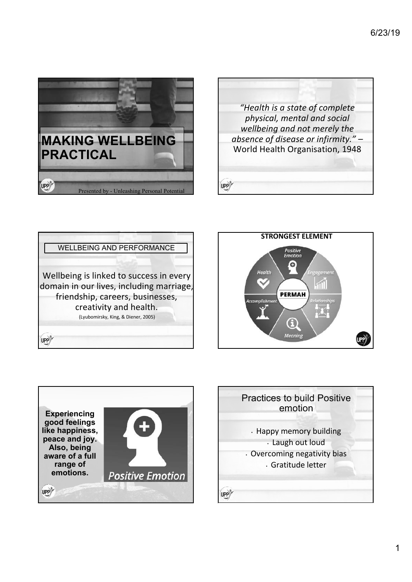









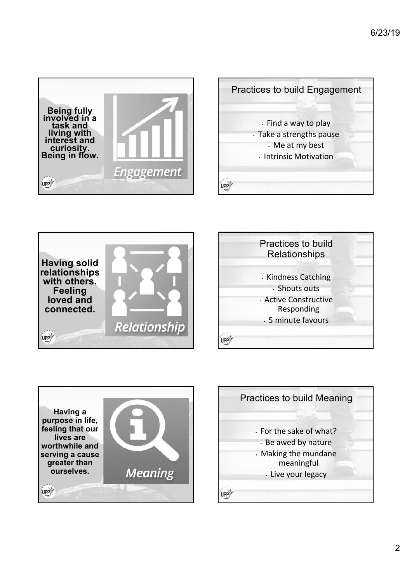